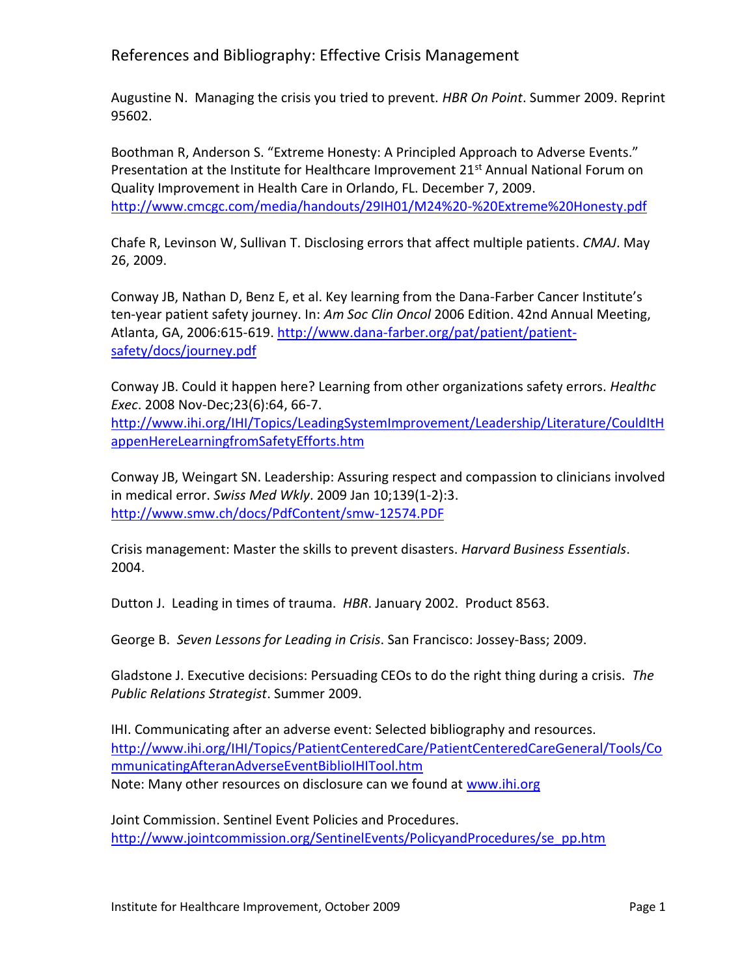References and Bibliography: Effective Crisis Management

Augustine N. Managing the crisis you tried to prevent. *HBR On Point*. Summer 2009. Reprint 95602.

Boothman R, Anderson S. "Extreme Honesty: A Principled Approach to Adverse Events." Presentation at the Institute for Healthcare Improvement  $21^{st}$  Annual National Forum on Quality Improvement in Health Care in Orlando, FL. December 7, 2009. <http://www.cmcgc.com/media/handouts/29IH01/M24%20-%20Extreme%20Honesty.pdf>

Chafe R, Levinson W, Sullivan T. Disclosing errors that affect multiple patients. *CMAJ*. May 26, 2009.

Conway JB, Nathan D, Benz E, et al. Key learning from the Dana-Farber Cancer Institute's ten-year patient safety journey. In: *Am Soc Clin Oncol* 2006 Edition. 42nd Annual Meeting, Atlanta, GA, 2006:615-619. [http://www.dana-farber.org/pat/patient/patient](http://www.dana-farber.org/pat/patient/patient-safety/docs/journey.pdf)[safety/docs/journey.pdf](http://www.dana-farber.org/pat/patient/patient-safety/docs/journey.pdf) 

Conway JB. Could it happen here? Learning from other organizations safety errors. *Healthc Exec*. 2008 Nov-Dec;23(6):64, 66-7.

[http://www.ihi.org/IHI/Topics/LeadingSystemImprovement/Leadership/Literature/CouldItH](http://www.ihi.org/IHI/Topics/LeadingSystemImprovement/Leadership/Literature/CouldItHappenHereLearningfromSafetyEfforts.htm) [appenHereLearningfromSafetyEfforts.htm](http://www.ihi.org/IHI/Topics/LeadingSystemImprovement/Leadership/Literature/CouldItHappenHereLearningfromSafetyEfforts.htm)

Conway JB, Weingart SN. Leadership: Assuring respect and compassion to clinicians involved in medical error. *Swiss Med Wkly*. 2009 Jan 10;139(1-2):3. <http://www.smw.ch/docs/PdfContent/smw-12574.PDF>

Crisis management: Master the skills to prevent disasters. *Harvard Business Essentials*. 2004.

Dutton J. Leading in times of trauma. *HBR*. January 2002. Product 8563.

George B. *Seven Lessons for Leading in Crisis*. San Francisco: Jossey-Bass; 2009.

Gladstone J. Executive decisions: Persuading CEOs to do the right thing during a crisis. *The Public Relations Strategist*. Summer 2009.

IHI. Communicating after an adverse event: Selected bibliography and resources. [http://www.ihi.org/IHI/Topics/PatientCenteredCare/PatientCenteredCareGeneral/Tools/Co](http://www.ihi.org/IHI/Topics/PatientCenteredCare/PatientCenteredCareGeneral/Tools/CommunicatingAfteranAdverseEventBiblioIHITool.htm) [mmunicatingAfteranAdverseEventBiblioIHITool.htm](http://www.ihi.org/IHI/Topics/PatientCenteredCare/PatientCenteredCareGeneral/Tools/CommunicatingAfteranAdverseEventBiblioIHITool.htm) Note: Many other resources on disclosure can we found at [www.ihi.org](http://www.ihi.org/)

Joint Commission. Sentinel Event Policies and Procedures. [http://www.jointcommission.org/SentinelEvents/PolicyandProcedures/se\\_pp.htm](http://www.jointcommission.org/SentinelEvents/PolicyandProcedures/se_pp.htm)